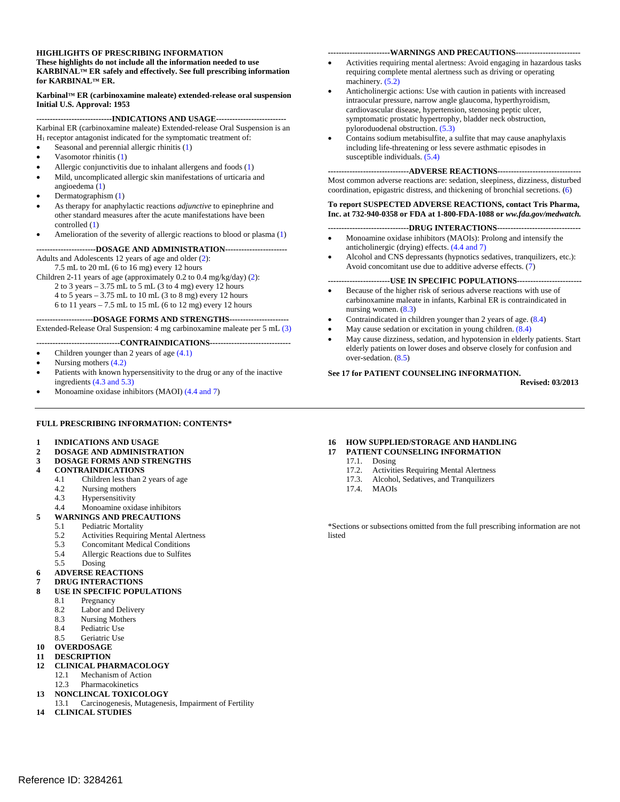#### **HIGHLIGHTS OF PRESCRIBING INFORMATION**

**These highlights do not include all the information needed to use KARBINAL™ ER safely and effectively. See full prescribing information for KARBINAL™ ER.** 

**Karbinal™ ER (carbinoxamine maleate) extended-release oral suspension Initial U.S. Approval: 1953** 

**----------------------------INDICATIONS AND USAGE--------------------------** Karbinal ER (carbinoxamine maleate) Extended-release Oral Suspension is an  $H<sub>1</sub>$  receptor antagonist indicated for the symptomatic treatment of:

- Seasonal and perennial allergic rhinitis (1)
- Vasomotor rhinitis (1)
- Allergic conjunctivitis due to inhalant allergens and foods (1)
- Mild, uncomplicated allergic skin manifestations of urticaria and
- angioedema (1) Dermatographism (1)
- As therapy for anaphylactic reactions *adjunctive* to epinephrine and other standard measures after the acute manifestations have been controlled (1)
- Amelioration of the severity of allergic reactions to blood or plasma (1)

**----------------------DOSAGE AND ADMINISTRATION-----------------------**  Adults and Adolescents 12 years of age and older (2):

7.5 mL to 20 mL (6 to 16 mg) every 12 hours

Children 2-11 years of age (approximately 0.2 to 0.4 mg/kg/day) (2):

2 to 3 years  $-3.75$  mL to 5 mL (3 to 4 mg) every 12 hours

4 to 5 years – 3.75 mL to 10 mL (3 to 8 mg) every 12 hours

6 to 11 years – 7.5 mL to 15 mL (6 to 12 mg) every 12 hours

#### **---------------------DOSAGE FORMS AND STRENGTHS----------------------**

Extended-Release Oral Suspension: 4 mg carbinoxamine maleate per 5 mL (3)

#### **-------------------------------CONTRAINDICATIONS------------------------------**

- Children younger than 2 years of age (4.1)
- Nursing mothers (4.2)
- Patients with known hypersensitivity to the drug or any of the inactive ingredients (4.3 and 5.3)
- Monoamine oxidase inhibitors (MAOI) (4.4 and 7)

#### **FULL PRESCRIBING INFORMATION: CONTENTS\***

- **1 INDICATIONS AND USAGE**
- **2 DOSAGE AND ADMINISTRATION**
- **3 DOSAGE FORMS AND STRENGTHS**

#### **4 CONTRAINDICATIONS**

- 4.1 Children less than 2 years of age<br>4.2 Nursing mothers
- Nursing mothers
- 4.3 Hypersensitivity
- 4.4 Monoamine oxidase inhibitors
- **5 WARNINGS AND PRECAUTIONS**
- 5.1 Pediatric Mortality
	- 5.2 Activities Requiring Mental Alertness
	- 5.3 Concomitant Medical Conditions
	- 5.4 Allergic Reactions due to Sulfites
	- 5.5 Dosing
- **6 ADVERSE REACTIONS**

- **7 DRUG INTERACTIONS 8 USE IN SPECIFIC POPULATIONS** 
	- 8.1 Pregnancy
	- 8.2 Labor and Delivery
	-
	- 8.3 Nursing Mothers<br>8.4 Pediatric Use Pediatric Use
	- 8.5 Geriatric Use
- **10 OVERDOSAGE**
- **11 DESCRIPTION**

#### **12 CLINICAL PHARMACOLOGY**

- 12.1 Mechanism of Action
- 12.3 Pharmacokinetics
- **13 NONCLINCAL TOXICOLOGY**
- 13.1 Carcinogenesis, Mutagenesis, Impairment of Fertility
- **14 CLINICAL STUDIES**

#### **-----------------------WARNINGS AND PRECAUTIONS------------------------**

- Activities requiring mental alertness: Avoid engaging in hazardous tasks requiring complete mental alertness such as driving or operating machinery.  $(5.2)$
- Anticholinergic actions: Use with caution in patients with increased intraocular pressure, narrow angle glaucoma, hyperthyroidism, cardiovascular disease, hypertension, stenosing peptic ulcer, symptomatic prostatic hypertrophy, bladder neck obstruction, pyloroduodenal obstruction. (5.3)
- Contains sodium metabisulfite, a sulfite that may cause anaphylaxis including life-threatening or less severe asthmatic episodes in susceptible individuals. (5.4)

#### **------------------------------ADVERSE REACTIONS-------------------------------**

Most common adverse reactions are: sedation, sleepiness, dizziness, disturbed coordination, epigastric distress, and thickening of bronchial secretions. (6)

#### **To report SUSPECTED ADVERSE REACTIONS, contact Tris Pharma, Inc. at 732-940-0358 or FDA at 1-800-FDA-1088 or** *ww.fda.gov/medwatch.*

#### **------------------------------DRUG INTERACTIONS-------------------------------**

- Monoamine oxidase inhibitors (MAOIs): Prolong and intensify the anticholinergic (drying) effects. (4.4 and 7)
- Alcohol and CNS depressants (hypnotics sedatives, tranquilizers, etc.): Avoid concomitant use due to additive adverse effects. (7)

#### **-----------------------USE IN SPECIFIC POPULATIONS------------------------**

- Because of the higher risk of serious adverse reactions with use of carbinoxamine maleate in infants, Karbinal ER is contraindicated in nursing women. (8.3)
- Contraindicated in children younger than 2 years of age. (8.4)
- May cause sedation or excitation in young children. (8.4)
- May cause dizziness, sedation, and hypotension in elderly patients. Start elderly patients on lower doses and observe closely for confusion and over-sedation. (8.5)

#### **See 17 for PATIENT COUNSELING INFORMATION.**

**Revised: 03/2013**

#### **16 HOW SUPPLIED/STORAGE AND HANDLING**

- **17 PATIENT COUNSELING INFORMATION** 
	- 17.1. Dosing
		- 17.2. Activities Requiring Mental Alertness
		- 17.3. Alcohol, Sedatives, and Tranquilizers
		- 17.4. MAOIs

\*Sections or subsections omitted from the full prescribing information are not listed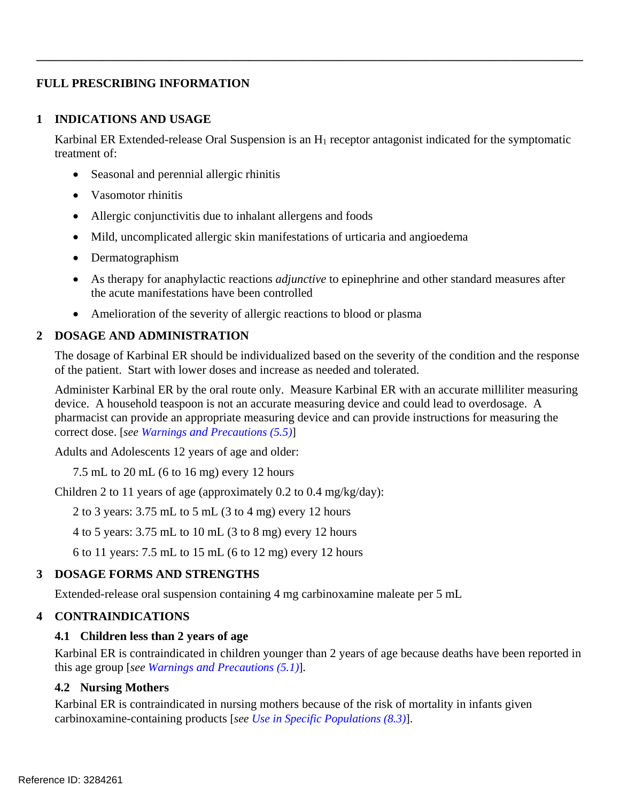# **FULL PRESCRIBING INFORMATION**

#### **1 INDICATIONS AND USAGE**

Karbinal ER Extended-release Oral Suspension is an  $H_1$  receptor antagonist indicated for the symptomatic treatment of:

**\_\_\_\_\_\_\_\_\_\_\_\_\_\_\_\_\_\_\_\_\_\_\_\_\_\_\_\_\_\_\_\_\_\_\_\_\_\_\_\_\_\_\_\_\_\_\_\_\_\_\_\_\_\_\_\_\_\_\_\_\_\_\_\_\_\_\_\_\_\_\_\_\_\_\_\_\_\_\_\_\_\_\_\_\_\_\_\_\_\_** 

- Seasonal and perennial allergic rhinitis
- Vasomotor rhinitis
- Allergic conjunctivitis due to inhalant allergens and foods
- Mild, uncomplicated allergic skin manifestations of urticaria and angioedema
- Dermatographism
- As therapy for anaphylactic reactions *adjunctive* to epinephrine and other standard measures after the acute manifestations have been controlled
- Amelioration of the severity of allergic reactions to blood or plasma

### **2 DOSAGE AND ADMINISTRATION**

The dosage of Karbinal ER should be individualized based on the severity of the condition and the response of the patient. Start with lower doses and increase as needed and tolerated.

Administer Karbinal ER by the oral route only. Measure Karbinal ER with an accurate milliliter measuring device. A household teaspoon is not an accurate measuring device and could lead to overdosage. A pharmacist can provide an appropriate measuring device and can provide instructions for measuring the correct dose. [*see Warnings and Precautions (5.5)*]

Adults and Adolescents 12 years of age and older:

7.5 mL to 20 mL (6 to 16 mg) every 12 hours

Children 2 to 11 years of age (approximately 0.2 to 0.4 mg/kg/day):

2 to 3 years: 3.75 mL to 5 mL (3 to 4 mg) every 12 hours

4 to 5 years: 3.75 mL to 10 mL (3 to 8 mg) every 12 hours

6 to 11 years: 7.5 mL to 15 mL (6 to 12 mg) every 12 hours

### **3 DOSAGE FORMS AND STRENGTHS**

Extended-release oral suspension containing 4 mg carbinoxamine maleate per 5 mL

### **4 CONTRAINDICATIONS**

### **4.1 Children less than 2 years of age**

Karbinal ER is contraindicated in children younger than 2 years of age because deaths have been reported in this age group [*see Warnings and Precautions (5.1)*].

### **4.2 Nursing Mothers**

Karbinal ER is contraindicated in nursing mothers because of the risk of mortality in infants given carbinoxamine-containing products [*see Use in Specific Populations (8.3)*].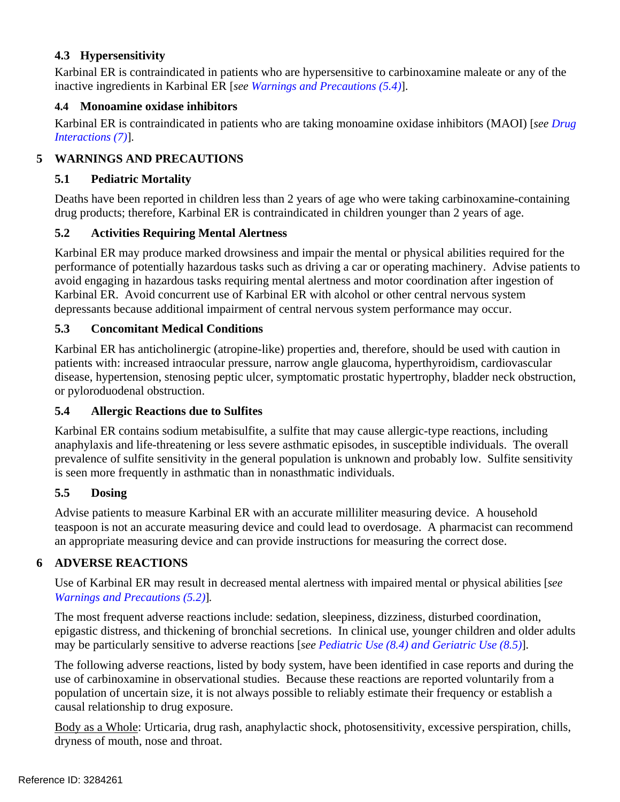# **4.3 Hypersensitivity**

Karbinal ER is contraindicated in patients who are hypersensitive to carbinoxamine maleate or any of the inactive ingredients in Karbinal ER [*see Warnings and Precautions (5.4)*].

# **4.4 Monoamine oxidase inhibitors**

Karbinal ER is contraindicated in patients who are taking monoamine oxidase inhibitors (MAOI) [*see Drug Interactions (7)*].

# **5 WARNINGS AND PRECAUTIONS**

# **5.1 Pediatric Mortality**

Deaths have been reported in children less than 2 years of age who were taking carbinoxamine-containing drug products; therefore, Karbinal ER is contraindicated in children younger than 2 years of age.

# **5.2 Activities Requiring Mental Alertness**

Karbinal ER may produce marked drowsiness and impair the mental or physical abilities required for the performance of potentially hazardous tasks such as driving a car or operating machinery. Advise patients to avoid engaging in hazardous tasks requiring mental alertness and motor coordination after ingestion of Karbinal ER. Avoid concurrent use of Karbinal ER with alcohol or other central nervous system depressants because additional impairment of central nervous system performance may occur.

## **5.3 Concomitant Medical Conditions**

Karbinal ER has anticholinergic (atropine-like) properties and, therefore, should be used with caution in patients with: increased intraocular pressure, narrow angle glaucoma, hyperthyroidism, cardiovascular disease, hypertension, stenosing peptic ulcer, symptomatic prostatic hypertrophy, bladder neck obstruction, or pyloroduodenal obstruction.

### **5.4 Allergic Reactions due to Sulfites**

Karbinal ER contains sodium metabisulfite, a sulfite that may cause allergic-type reactions, including anaphylaxis and life-threatening or less severe asthmatic episodes, in susceptible individuals. The overall prevalence of sulfite sensitivity in the general population is unknown and probably low. Sulfite sensitivity is seen more frequently in asthmatic than in nonasthmatic individuals.

### **5.5 Dosing**

Advise patients to measure Karbinal ER with an accurate milliliter measuring device. A household teaspoon is not an accurate measuring device and could lead to overdosage. A pharmacist can recommend an appropriate measuring device and can provide instructions for measuring the correct dose.

# **6 ADVERSE REACTIONS**

Use of Karbinal ER may result in decreased mental alertness with impaired mental or physical abilities [*see Warnings and Precautions (5.2)*]*.*

The most frequent adverse reactions include: sedation, sleepiness, dizziness, disturbed coordination, epigastic distress, and thickening of bronchial secretions. In clinical use, younger children and older adults may be particularly sensitive to adverse reactions [*see Pediatric Use (8.4) and Geriatric Use (8.5)*].

The following adverse reactions, listed by body system, have been identified in case reports and during the use of carbinoxamine in observational studies. Because these reactions are reported voluntarily from a population of uncertain size, it is not always possible to reliably estimate their frequency or establish a causal relationship to drug exposure.

Body as a Whole: Urticaria, drug rash, anaphylactic shock, photosensitivity, excessive perspiration, chills, dryness of mouth, nose and throat.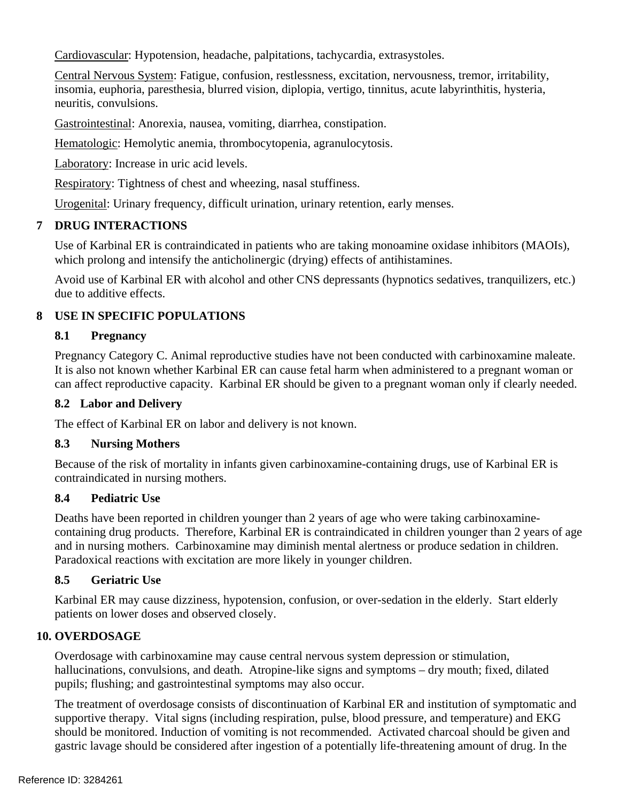Cardiovascular: Hypotension, headache, palpitations, tachycardia, extrasystoles.

Central Nervous System: Fatigue, confusion, restlessness, excitation, nervousness, tremor, irritability, insomia, euphoria, paresthesia, blurred vision, diplopia, vertigo, tinnitus, acute labyrinthitis, hysteria, neuritis, convulsions.

Gastrointestinal: Anorexia, nausea, vomiting, diarrhea, constipation.

Hematologic: Hemolytic anemia, thrombocytopenia, agranulocytosis.

Laboratory: Increase in uric acid levels.

Respiratory: Tightness of chest and wheezing, nasal stuffiness.

Urogenital: Urinary frequency, difficult urination, urinary retention, early menses.

# **7 DRUG INTERACTIONS**

Use of Karbinal ER is contraindicated in patients who are taking monoamine oxidase inhibitors (MAOIs), which prolong and intensify the anticholinergic (drying) effects of antihistamines.

Avoid use of Karbinal ER with alcohol and other CNS depressants (hypnotics sedatives, tranquilizers, etc.) due to additive effects.

# **8 USE IN SPECIFIC POPULATIONS**

# **8.1 Pregnancy**

Pregnancy Category C. Animal reproductive studies have not been conducted with carbinoxamine maleate. It is also not known whether Karbinal ER can cause fetal harm when administered to a pregnant woman or can affect reproductive capacity. Karbinal ER should be given to a pregnant woman only if clearly needed.

# **8.2 Labor and Delivery**

The effect of Karbinal ER on labor and delivery is not known.

# **8.3 Nursing Mothers**

Because of the risk of mortality in infants given carbinoxamine-containing drugs, use of Karbinal ER is contraindicated in nursing mothers.

# **8.4 Pediatric Use**

Deaths have been reported in children younger than 2 years of age who were taking carbinoxaminecontaining drug products. Therefore, Karbinal ER is contraindicated in children younger than 2 years of age and in nursing mothers. Carbinoxamine may diminish mental alertness or produce sedation in children. Paradoxical reactions with excitation are more likely in younger children.

# **8.5 Geriatric Use**

Karbinal ER may cause dizziness, hypotension, confusion, or over-sedation in the elderly. Start elderly patients on lower doses and observed closely.

# **10. OVERDOSAGE**

Overdosage with carbinoxamine may cause central nervous system depression or stimulation, hallucinations, convulsions, and death. Atropine-like signs and symptoms – dry mouth; fixed, dilated pupils; flushing; and gastrointestinal symptoms may also occur.

The treatment of overdosage consists of discontinuation of Karbinal ER and institution of symptomatic and supportive therapy. Vital signs (including respiration, pulse, blood pressure, and temperature) and EKG should be monitored. Induction of vomiting is not recommended. Activated charcoal should be given and gastric lavage should be considered after ingestion of a potentially life-threatening amount of drug. In the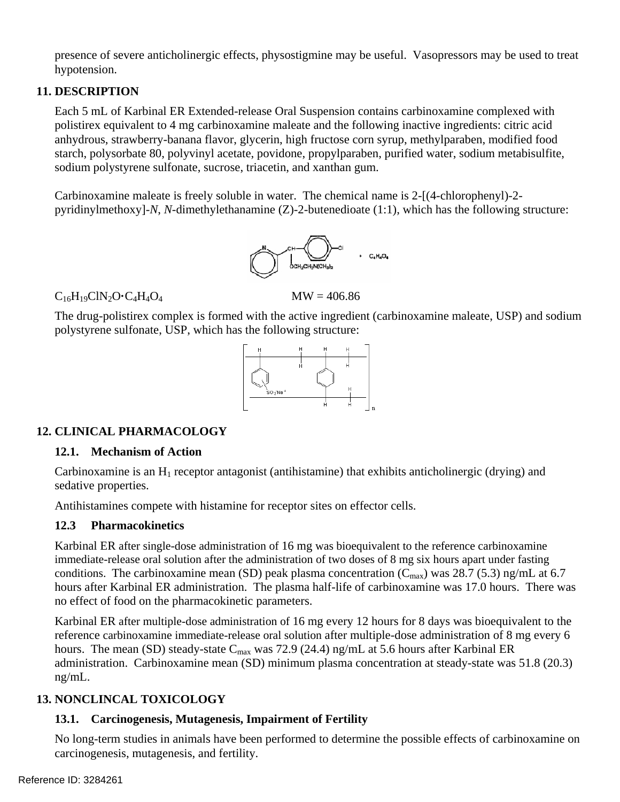presence of severe anticholinergic effects, physostigmine may be useful. Vasopressors may be used to treat hypotension.

## **11. DESCRIPTION**

Each 5 mL of Karbinal ER Extended-release Oral Suspension contains carbinoxamine complexed with polistirex equivalent to 4 mg carbinoxamine maleate and the following inactive ingredients: citric acid anhydrous, strawberry-banana flavor, glycerin, high fructose corn syrup, methylparaben, modified food starch, polysorbate 80, polyvinyl acetate, povidone, propylparaben, purified water, sodium metabisulfite, sodium polystyrene sulfonate, sucrose, triacetin, and xanthan gum.

Carbinoxamine maleate is freely soluble in water. The chemical name is 2-[(4-chlorophenyl)-2 pyridinylmethoxy]-*N*, *N*-dimethylethanamine (Z)-2-butenedioate (1:1), which has the following structure:



 $C_{16}H_{19}CIN_2O \cdot C_4H_4O_4$  MW = 406.86

The drug-polistirex complex is formed with the active ingredient (carbinoxamine maleate, USP) and sodium polystyrene sulfonate, USP, which has the following structure:



# **12. CLINICAL PHARMACOLOGY**

### **12.1. Mechanism of Action**

Carbinoxamine is an  $H_1$  receptor antagonist (antihistamine) that exhibits anticholinergic (drying) and sedative properties.

Antihistamines compete with histamine for receptor sites on effector cells.

### **12.3 Pharmacokinetics**

Karbinal ER after single-dose administration of 16 mg was bioequivalent to the reference carbinoxamine immediate-release oral solution after the administration of two doses of 8 mg six hours apart under fasting conditions. The carbinoxamine mean (SD) peak plasma concentration ( $C_{\text{max}}$ ) was 28.7 (5.3) ng/mL at 6.7 hours after Karbinal ER administration. The plasma half-life of carbinoxamine was 17.0 hours. There was no effect of food on the pharmacokinetic parameters.

Karbinal ER after multiple-dose administration of 16 mg every 12 hours for 8 days was bioequivalent to the reference carbinoxamine immediate-release oral solution after multiple-dose administration of 8 mg every 6 hours. The mean (SD) steady-state  $C_{\text{max}}$  was 72.9 (24.4) ng/mL at 5.6 hours after Karbinal ER administration. Carbinoxamine mean (SD) minimum plasma concentration at steady-state was 51.8 (20.3) ng/mL.

# **13. NONCLINCAL TOXICOLOGY**

# **13.1. Carcinogenesis, Mutagenesis, Impairment of Fertility**

No long-term studies in animals have been performed to determine the possible effects of carbinoxamine on carcinogenesis, mutagenesis, and fertility.